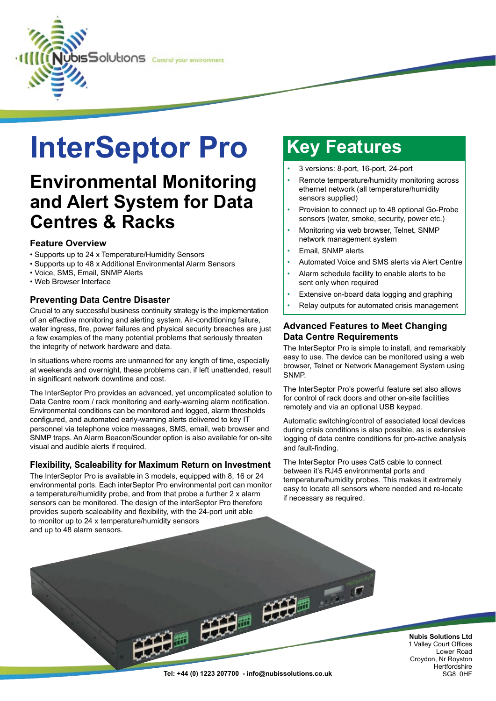

# **InterSeptor Pro Key Features**

### **Environmental Monitoring and Alert System for Data Centres & Racks**

#### **Feature Overview**

- Supports up to 24 x Temperature/Humidity Sensors
- Supports up to 48 x Additional Environmental Alarm Sensors
- Voice, SMS, Email, SNMP Alerts
- Web Browser Interface

### **Preventing Data Centre Disaster**

Crucial to any successful business continuity strategy is the implementation of an effective monitoring and alerting system. Air-conditioning failure, water ingress, fire, power failures and physical security breaches are just a few examples of the many potential problems that seriously threaten the integrity of network hardware and data.

In situations where rooms are unmanned for any length of time, especially at weekends and overnight, these problems can, if left unattended, result in significant network downtime and cost.

The InterSeptor Pro provides an advanced, yet uncomplicated solution to Data Centre room / rack monitoring and early-warning alarm notification. Environmental conditions can be monitored and logged, alarm thresholds configured, and automated early-warning alerts delivered to key IT personnel via telephone voice messages, SMS, email, web browser and SNMP traps. An Alarm Beacon/Sounder option is also available for on-site visual and audible alerts if required.

### **Flexibility, Scaleability for Maximum Return on Investment**

The InterSeptor Pro is available in 3 models, equipped with 8, 16 or 24 environmental ports. Each interSeptor Pro environmental port can monitor a temperature/humidity probe, and from that probe a further 2 x alarm sensors can be monitored. The design of the interSeptor Pro therefore provides superb scaleability and flexibility, with the 24-port unit able to monitor up to 24 x temperature/humidity sensors and up to 48 alarm sensors.

- 3 versions: 8-port, 16-port, 24-port
- Remote temperature/humidity monitoring across ethernet network (all temperature/humidity sensors supplied)
- Provision to connect up to 48 optional Go-Probe sensors (water, smoke, security, power etc.)
- Monitoring via web browser, Telnet, SNMP network management system
- Email, SNMP alerts
- Automated Voice and SMS alerts via Alert Centre
- Alarm schedule facility to enable alerts to be sent only when required
- Extensive on-board data logging and graphing
- Relay outputs for automated crisis management

### **Advanced Features to Meet Changing Data Centre Requirements**

The InterSeptor Pro is simple to install, and remarkably easy to use. The device can be monitored using a web browser, Telnet or Network Management System using SNMP.

The InterSeptor Pro's powerful feature set also allows for control of rack doors and other on-site facilities remotely and via an optional USB keypad.

Automatic switching/control of associated local devices during crisis conditions is also possible, as is extensive logging of data centre conditions for pro-active analysis and fault-finding.

The InterSeptor Pro uses Cat5 cable to connect between it's RJ45 environmental ports and temperature/humidity probes. This makes it extremely easy to locate all sensors where needed and re-locate if necessary as required.

師

**Nubis Solutions Ltd** 1 Valley Court Offices Lower Road Croydon, Nr Royston **Hertfordshire**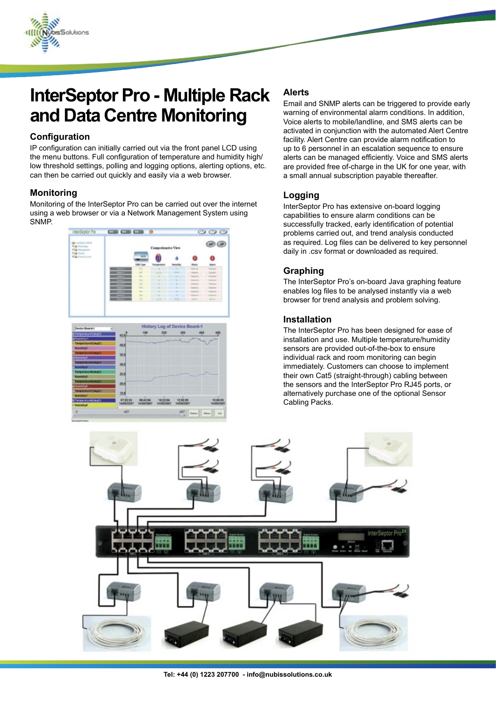

### **InterSeptor Pro - Multiple Rack and Data Centre Monitoring**

### **Configuration**

IP configuration can initially carried out via the front panel LCD using the menu buttons. Full configuration of temperature and humidity high/ low threshold settings, polling and logging options, alerting options, etc. can then be carried out quickly and easily via a web browser.

#### **Monitoring**

Monitoring of the InterSeptor Pro can be carried out over the internet using a web browser or via a Network Management System using SNMP.





### **Alerts**

Email and SNMP alerts can be triggered to provide early warning of environmental alarm conditions. In addition, Voice alerts to mobile/landline, and SMS alerts can be activated in conjunction with the automated Alert Centre facility. Alert Centre can provide alarm notification to up to 6 personnel in an escalation sequence to ensure alerts can be managed efficiently. Voice and SMS alerts are provided free of-charge in the UK for one year, with a small annual subscription payable thereafter.

### **Logging**

InterSeptor Pro has extensive on-board logging capabilities to ensure alarm conditions can be successfully tracked, early identification of potential problems carried out, and trend analysis conducted as required. Log files can be delivered to key personnel daily in .csv format or downloaded as required.

### **Graphing**

The InterSeptor Pro's on-board Java graphing feature enables log files to be analysed instantly via a web browser for trend analysis and problem solving.

#### **Installation**

The InterSeptor Pro has been designed for ease of installation and use. Multiple temperature/humidity sensors are provided out-of-the-box to ensure individual rack and room monitoring can begin immediately. Customers can choose to implement their own Cat5 (straight-through) cabling between the sensors and the InterSeptor Pro RJ45 ports, or alternatively purchase one of the optional Sensor Cabling Packs.

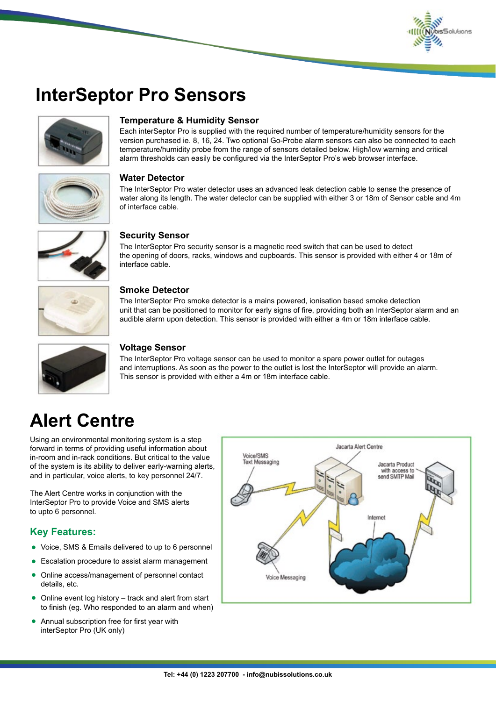

### **InterSeptor Pro Sensors**



#### **Temperature & Humidity Sensor**

Each interSeptor Pro is supplied with the required number of temperature/humidity sensors for the version purchased ie. 8, 16, 24. Two optional Go-Probe alarm sensors can also be connected to each temperature/humidity probe from the range of sensors detailed below. High/low warning and critical alarm thresholds can easily be configured via the InterSeptor Pro's web browser interface.



#### **Water Detector**

The InterSeptor Pro water detector uses an advanced leak detection cable to sense the presence of water along its length. The water detector can be supplied with either 3 or 18m of Sensor cable and 4m of interface cable.



#### **Security Sensor**

The InterSeptor Pro security sensor is a magnetic reed switch that can be used to detect the opening of doors, racks, windows and cupboards. This sensor is provided with either 4 or 18m of interface cable.



#### **Smoke Detector**

The InterSeptor Pro smoke detector is a mains powered, ionisation based smoke detection unit that can be positioned to monitor for early signs of fire, providing both an InterSeptor alarm and an audible alarm upon detection. This sensor is provided with either a 4m or 18m interface cable.



#### **Voltage Sensor**

The InterSeptor Pro voltage sensor can be used to monitor a spare power outlet for outages and interruptions. As soon as the power to the outlet is lost the InterSeptor will provide an alarm. This sensor is provided with either a 4m or 18m interface cable.

## **Alert Centre**

Using an environmental monitoring system is a step forward in terms of providing useful information about in-room and in-rack conditions. But critical to the value of the system is its ability to deliver early-warning alerts, and in particular, voice alerts, to key personnel 24/7.

The Alert Centre works in conjunction with the InterSeptor Pro to provide Voice and SMS alerts to upto 6 personnel.

### **Key Features:**

- Voice, SMS & Emails delivered to up to 6 personnel
- Escalation procedure to assist alarm management l
- Online access/management of personnel contact details, etc.  $\bullet$
- Online event log history track and alert from start to finish (eg. Who responded to an alarm and when)  $\bullet$
- Annual subscription free for first year with interSeptor Pro (UK only)  $\bullet$